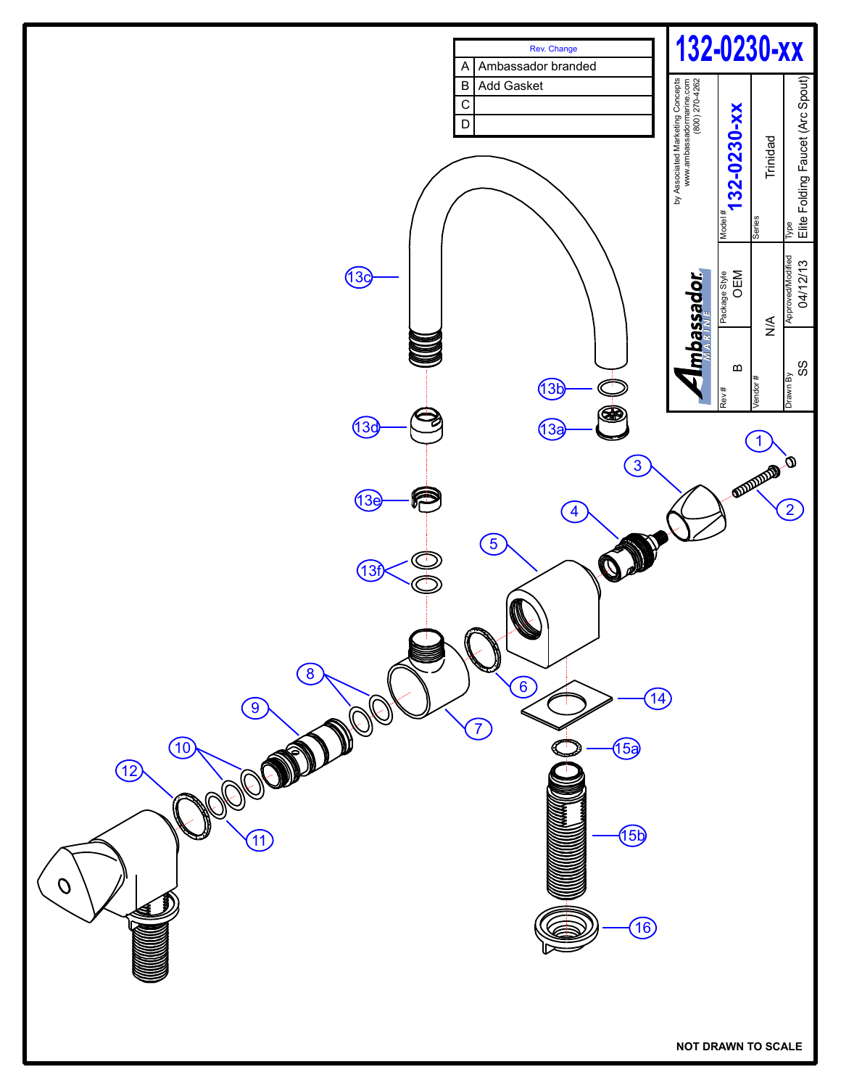